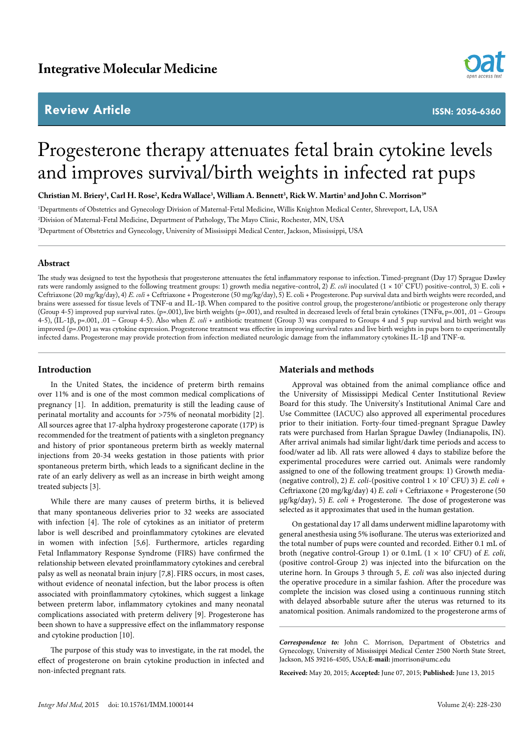## **Review Article**



**ISSN: 2056-6360**

# Progesterone therapy attenuates fetal brain cytokine levels and improves survival/birth weights in infected rat pups

 $\bf{Christian}\ M.$  Briery<sup>1</sup>, Carl H. Rose<sup>2</sup>, Kedra Wallace<sup>3</sup>, William A. Bennett<sup>3</sup>, Rick W. Martin<sup>3</sup> and John C. Morrison<sup>38</sup>

1 Departments of Obstetrics and Gynecology Division of Maternal-Fetal Medicine, Willis Knighton Medical Center, Shreveport, LA, USA 2 Division of Maternal-Fetal Medicine, Department of Pathology, The Mayo Clinic, Rochester, MN, USA 3 Department of Obstetrics and Gynecology, University of Mississippi Medical Center, Jackson, Mississippi, USA

#### **Abstract**

The study was designed to test the hypothesis that progesterone attenuates the fetal inflammatory response to infection. Timed-pregnant (Day 17) Sprague Dawley rats were randomly assigned to the following treatment groups: 1) growth media negative-control, 2) *E. coli* inoculated (1 × 107 CFU) positive-control, 3) E. coli + Ceftriaxone (20 mg/kg/day), 4) *E. coli* + Ceftriaxone + Progesterone (50 mg/kg/day), 5) E. coli + Progesterone. Pup survival data and birth weights were recorded, and brains were assessed for tissue levels of TNF-α and IL-1β. When compared to the positive control group, the progesterone/antibiotic or progesterone only therapy (Group 4-5) improved pup survival rates. (p=.001), live birth weights (p=.001), and resulted in decreased levels of fetal brain cytokines (TNFα, p=.001, .01 – Groups 4-5), (IL-1β, p=.001, .01 – Group 4-5). Also when *E. coli* + antibiotic treatment (Group 3) was compared to Groups 4 and 5 pup survival and birth weight was improved (p=.001) as was cytokine expression. Progesterone treatment was effective in improving survival rates and live birth weights in pups born to experimentally infected dams. Progesterone may provide protection from infection mediated neurologic damage from the inflammatory cytokines IL-1β and TNF-α.

#### **Introduction**

In the United States, the incidence of preterm birth remains over 11% and is one of the most common medical complications of pregnancy [1]. In addition, prematurity is still the leading cause of perinatal mortality and accounts for >75% of neonatal morbidity [2]. All sources agree that 17-alpha hydroxy progesterone caporate (17P) is recommended for the treatment of patients with a singleton pregnancy and history of prior spontaneous preterm birth as weekly maternal injections from 20-34 weeks gestation in those patients with prior spontaneous preterm birth, which leads to a significant decline in the rate of an early delivery as well as an increase in birth weight among treated subjects [3].

While there are many causes of preterm births, it is believed that many spontaneous deliveries prior to 32 weeks are associated with infection [4]. The role of cytokines as an initiator of preterm labor is well described and proinflammatory cytokines are elevated in women with infection [5,6]. Furthermore, articles regarding Fetal Inflammatory Response Syndrome (FIRS) have confirmed the relationship between elevated proinflammatory cytokines and cerebral palsy as well as neonatal brain injury [7,8]. FIRS occurs, in most cases, without evidence of neonatal infection, but the labor process is often associated with proinflammatory cytokines, which suggest a linkage between preterm labor, inflammatory cytokines and many neonatal complications associated with preterm delivery [9]. Progesterone has been shown to have a suppressive effect on the inflammatory response and cytokine production [10].

The purpose of this study was to investigate, in the rat model, the effect of progesterone on brain cytokine production in infected and non-infected pregnant rats.

### **Materials and methods**

Approval was obtained from the animal compliance office and the University of Mississippi Medical Center Institutional Review Board for this study. The University's Institutional Animal Care and Use Committee (IACUC) also approved all experimental procedures prior to their initiation. Forty-four timed-pregnant Sprague Dawley rats were purchased from Harlan Sprague Dawley (Indianapolis, IN). After arrival animals had similar light/dark time periods and access to food/water ad lib. All rats were allowed 4 days to stabilize before the experimental procedures were carried out. Animals were randomly assigned to one of the following treatment groups: 1) Growth media- (negative control), 2) *E. coli*-(positive control 1 × 107 CFU) 3) *E. coli* + Ceftriaxone (20 mg/kg/day) 4) *E. coli* + Ceftriaxone + Progesterone (50 µg/kg/day), 5) *E. coli* + Progesterone. The dose of progesterone was selected as it approximates that used in the human gestation.

On gestational day 17 all dams underwent midline laparotomy with general anesthesia using 5% isoflurane. The uterus was exteriorized and the total number of pups were counted and recorded. Either 0.1 mL of broth (negative control-Group 1) or 0.1mL (1 × 107 CFU) of *E. coli*, (positive control-Group 2) was injected into the bifurcation on the uterine horn. In Groups 3 through 5, *E. coli* was also injected during the operative procedure in a similar fashion. After the procedure was complete the incision was closed using a continuous running stitch with delayed absorbable suture after the uterus was returned to its anatomical position. Animals randomized to the progesterone arms of

*Correspondence to:* John C. Morrison, Department of Obstetrics and Gynecology, University of Mississippi Medical Center 2500 North State Street, Jackson, MS 39216-4505, USA; **E-mail:** jmorrison@umc.edu

**Received:** May 20, 2015; **Accepted:** June 07, 2015; **Published:** June 13, 2015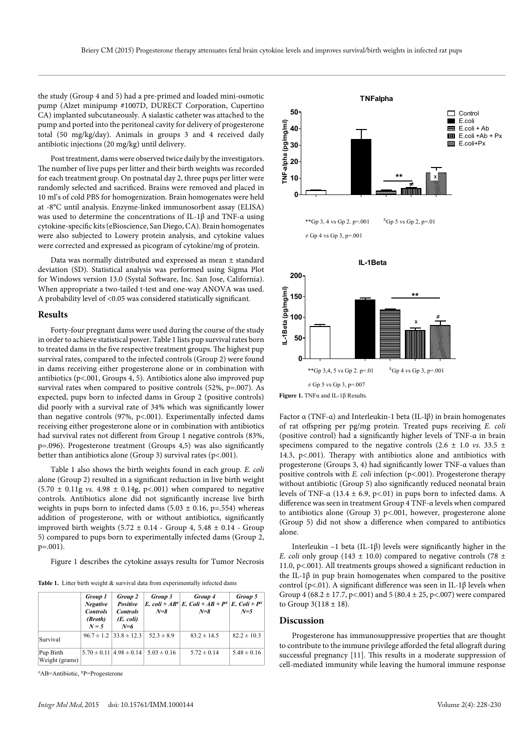the study (Group 4 and 5) had a pre-primed and loaded mini-osmotic pump (Alzet minipump #1007D, DURECT Corporation, Cupertino CA) implanted subcutaneously. A sialastic catheter was attached to the pump and ported into the peritoneal cavity for delivery of progesterone total (50 mg/kg/day). Animals in groups 3 and 4 received daily antibiotic injections (20 mg/kg) until delivery.

Post treatment, dams were observed twice daily by the investigators. The number of live pups per litter and their birth weights was recorded for each treatment group. On postnatal day 2, three pups per litter were randomly selected and sacrificed. Brains were removed and placed in 10 ml's of cold PBS for homogenization. Brain homogenates were held at -8°C until analysis. Enzyme-linked immunosorbent assay (ELISA) was used to determine the concentrations of IL-1β and TNF-α using cytokine-specific kits (eBioscience, San Diego, CA). Brain homogenates were also subjected to Lowery protein analysis, and cytokine values were corrected and expressed as picogram of cytokine/mg of protein.

Data was normally distributed and expressed as mean ± standard deviation (SD). Statistical analysis was performed using Sigma Plot for Windows version 13.0 (Systal Software, Inc. San Jose, California). When appropriate a two-tailed t-test and one-way ANOVA was used. A probability level of <0.05 was considered statistically significant.

#### **Results**

Forty-four pregnant dams were used during the course of the study in order to achieve statistical power. Table 1 lists pup survival rates born to treated dams in the five respective treatment groups. The highest pup survival rates, compared to the infected controls (Group 2) were found in dams receiving either progesterone alone or in combination with antibiotics (p<.001, Groups 4, 5). Antibiotics alone also improved pup survival rates when compared to positive controls (52%, p=.007). As expected, pups born to infected dams in Group 2 (positive controls) did poorly with a survival rate of 34% which was significantly lower than negative controls (97%, p<.001). Experimentally infected dams receiving either progesterone alone or in combination with antibiotics had survival rates not different from Group 1 negative controls (83%, p=.096). Progesterone treatment (Groups 4,5) was also significantly better than antibiotics alone (Group 3) survival rates (p<.001).

Table 1 also shows the birth weights found in each group. *E. coli* alone (Group 2) resulted in a significant reduction in live birth weight  $(5.70 \pm 0.11$ g *vs.* 4.98  $\pm$  0.14g, p<.001) when compared to negative controls. Antibiotics alone did not significantly increase live birth weights in pups born to infected dams  $(5.03 \pm 0.16, p=.554)$  whereas addition of progesterone, with or without antibiotics, significantly improved birth weights  $(5.72 \pm 0.14 - \text{Group } 4, 5.48 \pm 0.14 - \text{Group }$ 5) compared to pups born to experimentally infected dams (Group 2, p=.001).

Figure 1 describes the cytokine assays results for Tumor Necrosis

Table 1. Litter birth weight & survival data from experimentally infected dams

|                             | Group 1<br><b>Negative</b><br><b>Controls</b><br>(Broth)<br>$N = 5$ | Group 2<br>Positive<br><b>Controls</b><br>(E. coli)<br>$N=6$ | Group 3<br>$N = 8$                                  | Group 4<br>E. coli + AB <sup>o</sup> E. Coli + AB + P <sup>x</sup> E. Coli + P <sup>x</sup><br>$N = 8$ | Group 5<br>$N=5$ |
|-----------------------------|---------------------------------------------------------------------|--------------------------------------------------------------|-----------------------------------------------------|--------------------------------------------------------------------------------------------------------|------------------|
| Survival                    |                                                                     | $96.7 \pm 1.2$ $ 33.8 \pm 12.3$                              | $52.3 \pm 8.9$                                      | $83.2 \pm 14.5$                                                                                        | $82.2 \pm 10.3$  |
| Pup Birth<br>Weight (grams) |                                                                     |                                                              | $5.70 \pm 0.11$   $4.98 \pm 0.14$   $5.03 \pm 0.16$ | $5.72 \pm 0.14$                                                                                        | $5.48 \pm 0.16$  |

<sup>0</sup>AB=Antibiotic, <sup>x</sup>P=Progesterone





**Figure 1.** TNFα and IL-1β Results.

Factor α (TNF-α) and Interleukin-1 beta (IL- $\beta$ ) in brain homogenates of rat offspring per pg/mg protein. Treated pups receiving *E. coli* (positive control) had a significantly higher levels of TNF-α in brain specimens compared to the negative controls  $(2.6 \pm 1.0 \text{ vs. } 33.5 \pm \text{)}$ 14.3, p<.001). Therapy with antibiotics alone and antibiotics with progesterone (Groups 3, 4) had significantly lower TNF-α values than positive controls with *E. coli* infection (p<.001). Progesterone therapy without antibiotic (Group 5) also significantly reduced neonatal brain levels of TNF-α (13.4  $\pm$  6.9, p<.01) in pups born to infected dams. A difference was seen in treatment Group 4 TNF-α levels when compared to antibiotics alone (Group 3) p<.001, however, progesterone alone (Group 5) did not show a difference when compared to antibiotics alone.

Interleukin –1 beta (IL-1β) levels were significantly higher in the *E. coli* only group (143  $\pm$  10.0) compared to negative controls (78  $\pm$ 11.0, p<.001). All treatments groups showed a significant reduction in the IL-1β in pup brain homogenates when compared to the positive control (p<.01). A significant difference was seen in IL-1 $\beta$  levels when Group 4 (68.2  $\pm$  17.7, p<.001) and 5 (80.4  $\pm$  25, p<.007) were compared to Group  $3(118 \pm 18)$ .

#### **Discussion**

Progesterone has immunosuppressive properties that are thought to contribute to the immune privilege afforded the fetal allograft during successful pregnancy [11]. This results in a moderate suppression of cell-mediated immunity while leaving the humoral immune response